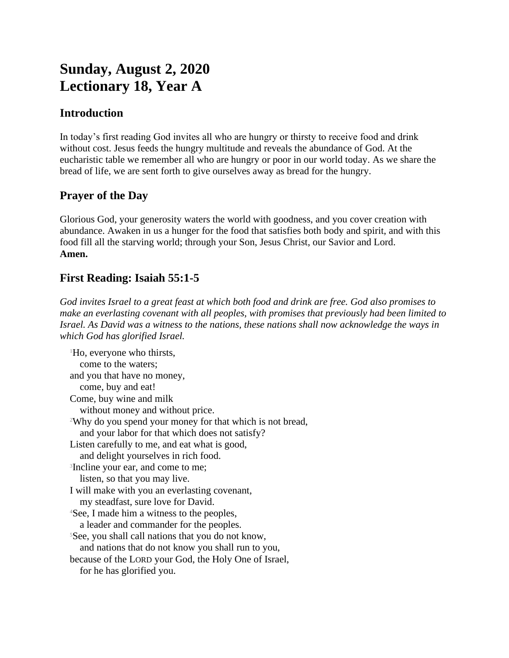# **Sunday, August 2, 2020 Lectionary 18, Year A**

#### **Introduction**

In today's first reading God invites all who are hungry or thirsty to receive food and drink without cost. Jesus feeds the hungry multitude and reveals the abundance of God. At the eucharistic table we remember all who are hungry or poor in our world today. As we share the bread of life, we are sent forth to give ourselves away as bread for the hungry.

### **Prayer of the Day**

Glorious God, your generosity waters the world with goodness, and you cover creation with abundance. Awaken in us a hunger for the food that satisfies both body and spirit, and with this food fill all the starving world; through your Son, Jesus Christ, our Savior and Lord. **Amen.**

## **First Reading: Isaiah 55:1-5**

*God invites Israel to a great feast at which both food and drink are free. God also promises to make an everlasting covenant with all peoples, with promises that previously had been limited to Israel. As David was a witness to the nations, these nations shall now acknowledge the ways in which God has glorified Israel.*

<sup>1</sup>Ho, everyone who thirsts, come to the waters; and you that have no money, come, buy and eat! Come, buy wine and milk without money and without price. <sup>2</sup>Why do you spend your money for that which is not bread, and your labor for that which does not satisfy? Listen carefully to me, and eat what is good, and delight yourselves in rich food. <sup>3</sup>Incline your ear, and come to me; listen, so that you may live. I will make with you an everlasting covenant, my steadfast, sure love for David. <sup>4</sup>See, I made him a witness to the peoples, a leader and commander for the peoples. <sup>5</sup>See, you shall call nations that you do not know, and nations that do not know you shall run to you, because of the LORD your God, the Holy One of Israel, for he has glorified you.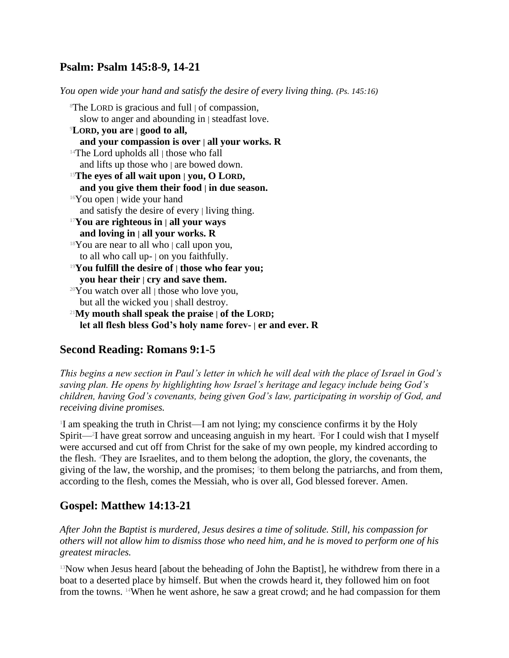#### **Psalm: Psalm 145:8-9, 14-21**

*You open wide your hand and satisfy the desire of every living thing. (Ps. 145:16)*

<sup>8</sup>The LORD is gracious and full | of compassion, slow to anger and abounding in | steadfast love. <sup>9</sup>**LORD, you are | good to all, and your compassion is over | all your works. R** <sup>14</sup>The Lord upholds all | those who fall and lifts up those who | are bowed down. <sup>15</sup>**The eyes of all wait upon | you, O LORD, and you give them their food | in due season.**  $16$ You open | wide your hand and satisfy the desire of every | living thing. <sup>17</sup>**You are righteous in | all your ways and loving in | all your works. R**  $18$ You are near to all who | call upon you, to all who call up- | on you faithfully. <sup>19</sup>**You fulfill the desire of | those who fear you; you hear their | cry and save them.**  $20$ You watch over all  $\vert$  those who love you, but all the wicked you | shall destroy. <sup>21</sup>**My mouth shall speak the praise | of the LORD; let all flesh bless God's holy name forev- | er and ever. R**

#### **Second Reading: Romans 9:1-5**

*This begins a new section in Paul's letter in which he will deal with the place of Israel in God's saving plan. He opens by highlighting how Israel's heritage and legacy include being God's children, having God's covenants, being given God's law, participating in worship of God, and receiving divine promises.*

<sup>1</sup>I am speaking the truth in Christ—I am not lying; my conscience confirms it by the Holy Spirit—<sup>2</sup>I have great sorrow and unceasing anguish in my heart. <sup>3</sup>For I could wish that I myself were accursed and cut off from Christ for the sake of my own people, my kindred according to the flesh. 4They are Israelites, and to them belong the adoption, the glory, the covenants, the giving of the law, the worship, and the promises; <sup>5</sup> to them belong the patriarchs, and from them, according to the flesh, comes the Messiah, who is over all, God blessed forever. Amen.

#### **Gospel: Matthew 14:13-21**

*After John the Baptist is murdered, Jesus desires a time of solitude. Still, his compassion for others will not allow him to dismiss those who need him, and he is moved to perform one of his greatest miracles.*

<sup>13</sup>Now when Jesus heard [about the beheading of John the Baptist], he withdrew from there in a boat to a deserted place by himself. But when the crowds heard it, they followed him on foot from the towns. 14When he went ashore, he saw a great crowd; and he had compassion for them